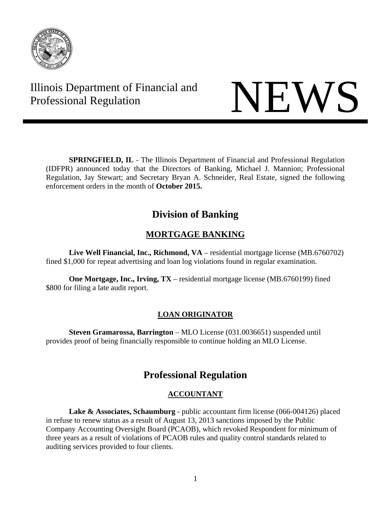

# Illinois Department of Financial and



**SPRINGFIELD, IL** - The Illinois Department of Financial and Professional Regulation (IDFPR) announced today that the Directors of Banking, Michael J. Mannion; Professional Regulation, Jay Stewart; and Secretary Bryan A. Schneider, Real Estate, signed the following enforcement orders in the month of **October 2015.** 

# **Division of Banking**

# **MORTGAGE BANKING**

**Live Well Financial, Inc., Richmond, VA** – residential mortgage license (MB.6760702) fined \$1,000 for repeat advertising and loan log violations found in regular examination.

**One Mortgage, Inc., Irving, TX** – residential mortgage license (MB.6760199) fined \$800 for filing a late audit report.

# **LOAN ORIGINATOR**

**Steven Gramarossa, Barrington** – MLO License (031.0036651) suspended until provides proof of being financially responsible to continue holding an MLO License.

# **Professional Regulation**

# **ACCOUNTANT**

**Lake & Associates, Schaumburg** - public accountant firm license (066-004126) placed in refuse to renew status as a result of August 13, 2013 sanctions imposed by the Public Company Accounting Oversight Board (PCAOB), which revoked Respondent for minimum of three years as a result of violations of PCAOB rules and quality control standards related to auditing services provided to four clients.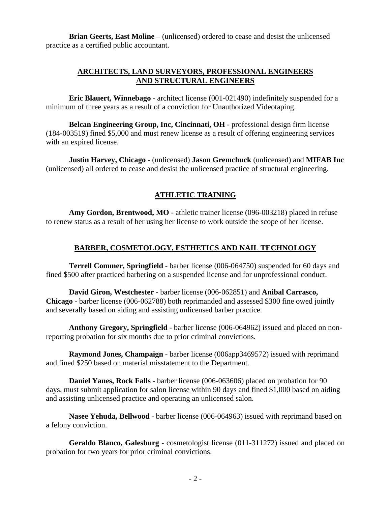**Brian Geerts, East Moline** – (unlicensed) ordered to cease and desist the unlicensed practice as a certified public accountant.

#### **ARCHITECTS, LAND SURVEYORS, PROFESSIONAL ENGINEERS AND STRUCTURAL ENGINEERS**

**Eric Blauert, Winnebago** - architect license (001-021490) indefinitely suspended for a minimum of three years as a result of a conviction for Unauthorized Videotaping.

**Belcan Engineering Group, Inc, Cincinnati, OH** - professional design firm license (184-003519) fined \$5,000 and must renew license as a result of offering engineering services with an expired license.

**Justin Harvey, Chicago** - (unlicensed) **Jason Gremchuck** (unlicensed) and **MIFAB Inc** (unlicensed) all ordered to cease and desist the unlicensed practice of structural engineering.

# **ATHLETIC TRAINING**

**Amy Gordon, Brentwood, MO** - athletic trainer license (096-003218) placed in refuse to renew status as a result of her using her license to work outside the scope of her license.

# **BARBER, COSMETOLOGY, ESTHETICS AND NAIL TECHNOLOGY**

**Terrell Commer, Springfield** - barber license (006-064750) suspended for 60 days and fined \$500 after practiced barbering on a suspended license and for unprofessional conduct.

**David Giron, Westchester** - barber license (006-062851) and **Anibal Carrasco, Chicago -** barber license (006-062788) both reprimanded and assessed \$300 fine owed jointly and severally based on aiding and assisting unlicensed barber practice.

**Anthony Gregory, Springfield** - barber license (006-064962) issued and placed on nonreporting probation for six months due to prior criminal convictions.

**Raymond Jones, Champaign** - barber license (006app3469572) issued with reprimand and fined \$250 based on material misstatement to the Department.

**Daniel Yanes, Rock Falls** - barber license (006-063606) placed on probation for 90 days, must submit application for salon license within 90 days and fined \$1,000 based on aiding and assisting unlicensed practice and operating an unlicensed salon.

**Nasee Yehuda, Bellwood** - barber license (006-064963) issued with reprimand based on a felony conviction.

**Geraldo Blanco, Galesburg** - cosmetologist license (011-311272) issued and placed on probation for two years for prior criminal convictions.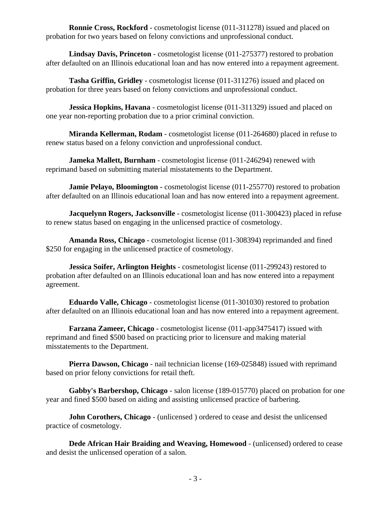**Ronnie Cross, Rockford** - cosmetologist license (011-311278) issued and placed on probation for two years based on felony convictions and unprofessional conduct.

**Lindsay Davis, Princeton** - cosmetologist license (011-275377) restored to probation after defaulted on an Illinois educational loan and has now entered into a repayment agreement.

**Tasha Griffin, Gridley** - cosmetologist license (011-311276) issued and placed on probation for three years based on felony convictions and unprofessional conduct.

**Jessica Hopkins, Havana** - cosmetologist license (011-311329) issued and placed on one year non-reporting probation due to a prior criminal conviction.

**Miranda Kellerman, Rodam** - cosmetologist license (011-264680) placed in refuse to renew status based on a felony conviction and unprofessional conduct.

**Jameka Mallett, Burnham** - cosmetologist license (011-246294) renewed with reprimand based on submitting material misstatements to the Department.

**Jamie Pelayo, Bloomington -** cosmetologist license (011-255770) restored to probation after defaulted on an Illinois educational loan and has now entered into a repayment agreement.

**Jacquelynn Rogers, Jacksonville** - cosmetologist license (011-300423) placed in refuse to renew status based on engaging in the unlicensed practice of cosmetology.

**Amanda Ross, Chicago** - cosmetologist license (011-308394) reprimanded and fined \$250 for engaging in the unlicensed practice of cosmetology.

**Jessica Soifer, Arlington Heights** - cosmetologist license (011-299243) restored to probation after defaulted on an Illinois educational loan and has now entered into a repayment agreement.

**Eduardo Valle, Chicago** - cosmetologist license (011-301030) restored to probation after defaulted on an Illinois educational loan and has now entered into a repayment agreement.

**Farzana Zameer, Chicago** - cosmetologist license (011-app3475417) issued with reprimand and fined \$500 based on practicing prior to licensure and making material misstatements to the Department.

 **Pierra Dawson, Chicago** - nail technician license (169-025848) issued with reprimand based on prior felony convictions for retail theft.

**Gabby's Barbershop, Chicago** - salon license (189-015770) placed on probation for one year and fined \$500 based on aiding and assisting unlicensed practice of barbering.

**John Corothers, Chicago** - (unlicensed ) ordered to cease and desist the unlicensed practice of cosmetology.

**Dede African Hair Braiding and Weaving, Homewood** - (unlicensed) ordered to cease and desist the unlicensed operation of a salon.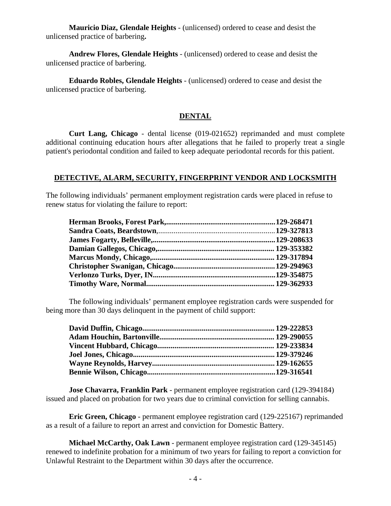**Mauricio Diaz, Glendale Heights** - (unlicensed) ordered to cease and desist the unlicensed practice of barbering**.** 

**Andrew Flores, Glendale Heights** - (unlicensed) ordered to cease and desist the unlicensed practice of barbering.

**Eduardo Robles, Glendale Heights** - (unlicensed) ordered to cease and desist the unlicensed practice of barbering.

#### **DENTAL**

**Curt Lang, Chicago** - dental license (019-021652) reprimanded and must complete additional continuing education hours after allegations that he failed to properly treat a single patient's periodontal condition and failed to keep adequate periodontal records for this patient.

#### **DETECTIVE, ALARM, SECURITY, FINGERPRINT VENDOR AND LOCKSMITH**

The following individuals' permanent employment registration cards were placed in refuse to renew status for violating the failure to report:

The following individuals' permanent employee registration cards were suspended for being more than 30 days delinquent in the payment of child support:

**Jose Chavarra, Franklin Park** - permanent employee registration card (129-394184) issued and placed on probation for two years due to criminal conviction for selling cannabis.

**Eric Green, Chicago** - permanent employee registration card (129-225167) reprimanded as a result of a failure to report an arrest and conviction for Domestic Battery.

**Michael McCarthy, Oak Lawn** - permanent employee registration card (129-345145) renewed to indefinite probation for a minimum of two years for failing to report a conviction for Unlawful Restraint to the Department within 30 days after the occurrence.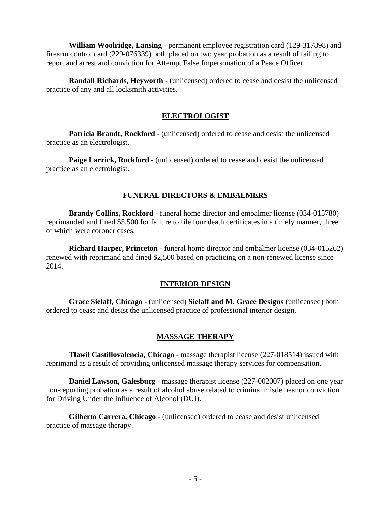**William Woolridge, Lansing** - permanent employee registration card (129-317898) and firearm control card (229-076339) both placed on two year probation as a result of failing to report and arrest and conviction for Attempt False Impersonation of a Peace Officer.

 **Randall Richards, Heyworth** - (unlicensed) ordered to cease and desist the unlicensed practice of any and all locksmith activities.

# **ELECTROLOGIST**

**Patricia Brandt, Rockford** - (unlicensed) ordered to cease and desist the unlicensed practice as an electrologist.

**Paige Larrick, Rockford** - (unlicensed) ordered to cease and desist the unlicensed practice as an electrologist.

# **FUNERAL DIRECTORS & EMBALMERS**

**Brandy Collins, Rockford** - funeral home director and embalmer license (034-015780) reprimanded and fined \$5,500 for failure to file four death certificates in a timely manner, three of which were coroner cases.

**Richard Harper, Princeton** - funeral home director and embalmer license (034-015262) renewed with reprimand and fined \$2,500 based on practicing on a non-renewed license since 2014.

## **INTERIOR DESIGN**

**Grace Sielaff, Chicago** - (unlicensed) **Sielaff and M. Grace Designs** (unlicensed) both ordered to cease and desist the unlicensed practice of professional interior design.

## **MASSAGE THERAPY**

**Tlawil Castillovalencia, Chicago** - massage therapist license (227-018514) issued with reprimand as a result of providing unlicensed massage therapy services for compensation.

**Daniel Lawson, Galesburg** - massage therapist license (227-002007) placed on one year non-reporting probation as a result of alcohol abuse related to criminal misdemeanor conviction for Driving Under the Influence of Alcohol (DUI).

**Gilberto Carrera, Chicago** - (unlicensed) ordered to cease and desist unlicensed practice of massage therapy.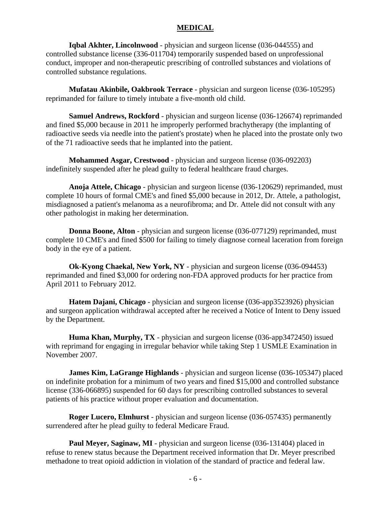#### **MEDICAL**

**Iqbal Akhter, Lincolnwood** - physician and surgeon license (036-044555) and controlled substance license (336-011704) temporarily suspended based on unprofessional conduct, improper and non-therapeutic prescribing of controlled substances and violations of controlled substance regulations.

**Mufatau Akinbile, Oakbrook Terrace** - physician and surgeon license (036-105295) reprimanded for failure to timely intubate a five-month old child.

**Samuel Andrews, Rockford** - physician and surgeon license (036-126674) reprimanded and fined \$5,000 because in 2011 he improperly performed brachytherapy (the implanting of radioactive seeds via needle into the patient's prostate) when he placed into the prostate only two of the 71 radioactive seeds that he implanted into the patient.

**Mohammed Asgar, Crestwood** - physician and surgeon license (036-092203) indefinitely suspended after he plead guilty to federal healthcare fraud charges.

**Anoja Attele, Chicago** - physician and surgeon license (036-120629) reprimanded, must complete 10 hours of formal CME's and fined \$5,000 because in 2012, Dr. Attele, a pathologist, misdiagnosed a patient's melanoma as a neurofibroma; and Dr. Attele did not consult with any other pathologist in making her determination.

**Donna Boone, Alton** - physician and surgeon license (036-077129) reprimanded, must complete 10 CME's and fined \$500 for failing to timely diagnose corneal laceration from foreign body in the eye of a patient.

**Ok-Kyong Chaekal, New York, NY** - physician and surgeon license (036-094453) reprimanded and fined \$3,000 for ordering non-FDA approved products for her practice from April 2011 to February 2012.

**Hatem Dajani, Chicago** - physician and surgeon license (036-app3523926) physician and surgeon application withdrawal accepted after he received a Notice of Intent to Deny issued by the Department.

**Huma Khan, Murphy, TX** - physician and surgeon license (036-app3472450) issued with reprimand for engaging in irregular behavior while taking Step 1 USMLE Examination in November 2007.

**James Kim, LaGrange Highlands** - physician and surgeon license (036-105347) placed on indefinite probation for a minimum of two years and fined \$15,000 and controlled substance license (336-066895) suspended for 60 days for prescribing controlled substances to several patients of his practice without proper evaluation and documentation.

**Roger Lucero, Elmhurst** - physician and surgeon license (036-057435) permanently surrendered after he plead guilty to federal Medicare Fraud.

**Paul Meyer, Saginaw, MI** - physician and surgeon license (036-131404) placed in refuse to renew status because the Department received information that Dr. Meyer prescribed methadone to treat opioid addiction in violation of the standard of practice and federal law.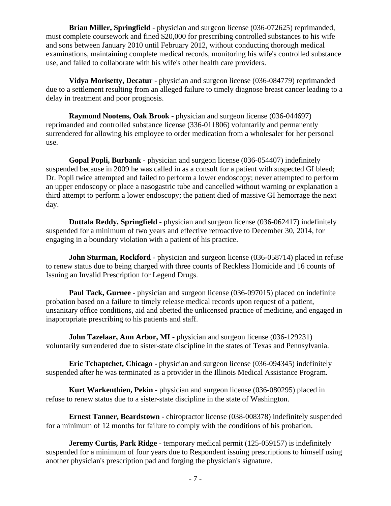**Brian Miller, Springfield** - physician and surgeon license (036-072625) reprimanded, must complete coursework and fined \$20,000 for prescribing controlled substances to his wife and sons between January 2010 until February 2012, without conducting thorough medical examinations, maintaining complete medical records, monitoring his wife's controlled substance use, and failed to collaborate with his wife's other health care providers.

**Vidya Morisetty, Decatur** - physician and surgeon license (036-084779) reprimanded due to a settlement resulting from an alleged failure to timely diagnose breast cancer leading to a delay in treatment and poor prognosis.

**Raymond Nootens, Oak Brook** - physician and surgeon license (036-044697) reprimanded and controlled substance license (336-011806) voluntarily and permanently surrendered for allowing his employee to order medication from a wholesaler for her personal use.

**Gopal Popli, Burbank** - physician and surgeon license (036-054407) indefinitely suspended because in 2009 he was called in as a consult for a patient with suspected GI bleed; Dr. Popli twice attempted and failed to perform a lower endoscopy; never attempted to perform an upper endoscopy or place a nasogastric tube and cancelled without warning or explanation a third attempt to perform a lower endoscopy; the patient died of massive GI hemorrage the next day.

**Duttala Reddy, Springfield** - physician and surgeon license (036-062417) indefinitely suspended for a minimum of two years and effective retroactive to December 30, 2014, for engaging in a boundary violation with a patient of his practice.

**John Sturman, Rockford** - physician and surgeon license (036-058714) placed in refuse to renew status due to being charged with three counts of Reckless Homicide and 16 counts of Issuing an Invalid Prescription for Legend Drugs.

**Paul Tack, Gurnee** - physician and surgeon license (036-097015) placed on indefinite probation based on a failure to timely release medical records upon request of a patient, unsanitary office conditions, aid and abetted the unlicensed practice of medicine, and engaged in inappropriate prescribing to his patients and staff.

**John Tazelaar, Ann Arbor, MI** - physician and surgeon license (036-129231) voluntarily surrendered due to sister-state discipline in the states of Texas and Pennsylvania.

**Eric Tchaptchet, Chicago -** physician and surgeon license (036-094345) indefinitely suspended after he was terminated as a provider in the Illinois Medical Assistance Program.

**Kurt Warkenthien, Pekin** - physician and surgeon license (036-080295) placed in refuse to renew status due to a sister-state discipline in the state of Washington.

**Ernest Tanner, Beardstown** - chiropractor license (038-008378) indefinitely suspended for a minimum of 12 months for failure to comply with the conditions of his probation.

 **Jeremy Curtis, Park Ridge** - temporary medical permit (125-059157) is indefinitely suspended for a minimum of four years due to Respondent issuing prescriptions to himself using another physician's prescription pad and forging the physician's signature.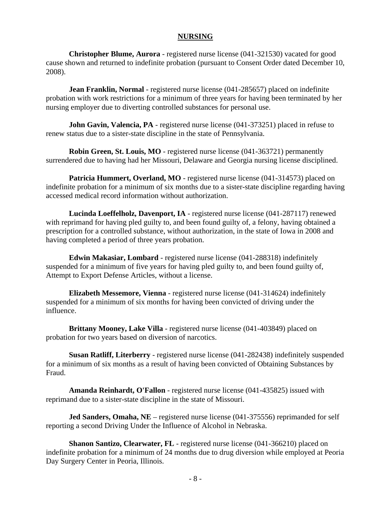#### **NURSING**

**Christopher Blume, Aurora** - registered nurse license (041-321530) vacated for good cause shown and returned to indefinite probation (pursuant to Consent Order dated December 10, 2008).

**Jean Franklin, Normal** - registered nurse license (041-285657) placed on indefinite probation with work restrictions for a minimum of three years for having been terminated by her nursing employer due to diverting controlled substances for personal use.

**John Gavin, Valencia, PA** - registered nurse license (041-373251) placed in refuse to renew status due to a sister-state discipline in the state of Pennsylvania.

**Robin Green, St. Louis, MO** - registered nurse license (041-363721) permanently surrendered due to having had her Missouri, Delaware and Georgia nursing license disciplined.

**Patricia Hummert, Overland, MO** - registered nurse license (041-314573) placed on indefinite probation for a minimum of six months due to a sister-state discipline regarding having accessed medical record information without authorization.

**Lucinda Loeffelholz, Davenport, IA** - registered nurse license (041-287117) renewed with reprimand for having pled guilty to, and been found guilty of, a felony, having obtained a prescription for a controlled substance, without authorization, in the state of Iowa in 2008 and having completed a period of three years probation.

**Edwin Makasiar, Lombard** - registered nurse license (041-288318) indefinitely suspended for a minimum of five years for having pled guilty to, and been found guilty of, Attempt to Export Defense Articles, without a license.

**Elizabeth Messemore, Vienna** - registered nurse license (041-314624) indefinitely suspended for a minimum of six months for having been convicted of driving under the influence.

**Brittany Mooney, Lake Villa** - registered nurse license (041-403849) placed on probation for two years based on diversion of narcotics.

**Susan Ratliff, Literberry** - registered nurse license (041-282438) indefinitely suspended for a minimum of six months as a result of having been convicted of Obtaining Substances by Fraud.

**Amanda Reinhardt, O'Fallon** - registered nurse license (041-435825) issued with reprimand due to a sister-state discipline in the state of Missouri.

**Jed Sanders, Omaha, NE** – registered nurse license (041-375556) reprimanded for self reporting a second Driving Under the Influence of Alcohol in Nebraska.

**Shanon Santizo, Clearwater, FL** - registered nurse license (041-366210) placed on indefinite probation for a minimum of 24 months due to drug diversion while employed at Peoria Day Surgery Center in Peoria, Illinois.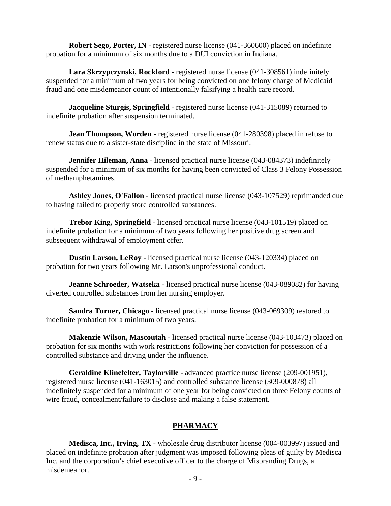**Robert Sego, Porter, IN** - registered nurse license (041-360600) placed on indefinite probation for a minimum of six months due to a DUI conviction in Indiana.

**Lara Skrzypczynski, Rockford** - registered nurse license (041-308561) indefinitely suspended for a minimum of two years for being convicted on one felony charge of Medicaid fraud and one misdemeanor count of intentionally falsifying a health care record.

**Jacqueline Sturgis, Springfield** - registered nurse license (041-315089) returned to indefinite probation after suspension terminated.

**Jean Thompson, Worden** - registered nurse license (041-280398) placed in refuse to renew status due to a sister-state discipline in the state of Missouri.

**Jennifer Hileman, Anna** - licensed practical nurse license (043-084373) indefinitely suspended for a minimum of six months for having been convicted of Class 3 Felony Possession of methamphetamines.

**Ashley Jones, O'Fallon** - licensed practical nurse license (043-107529) reprimanded due to having failed to properly store controlled substances.

**Trebor King, Springfield** - licensed practical nurse license (043-101519) placed on indefinite probation for a minimum of two years following her positive drug screen and subsequent withdrawal of employment offer.

**Dustin Larson, LeRoy** - licensed practical nurse license (043-120334) placed on probation for two years following Mr. Larson's unprofessional conduct.

**Jeanne Schroeder, Watseka** - licensed practical nurse license (043-089082) for having diverted controlled substances from her nursing employer.

**Sandra Turner, Chicago** - licensed practical nurse license (043-069309) restored to indefinite probation for a minimum of two years.

**Makenzie Wilson, Mascoutah** - licensed practical nurse license (043-103473) placed on probation for six months with work restrictions following her conviction for possession of a controlled substance and driving under the influence.

 **Geraldine Klinefelter, Taylorville** - advanced practice nurse license (209-001951), registered nurse license (041-163015) and controlled substance license (309-000878) all indefinitely suspended for a minimum of one year for being convicted on three Felony counts of wire fraud, concealment/failure to disclose and making a false statement.

#### **PHARMACY**

**Medisca, Inc., Irving, TX** - wholesale drug distributor license (004-003997) issued and placed on indefinite probation after judgment was imposed following pleas of guilty by Medisca Inc. and the corporation's chief executive officer to the charge of Misbranding Drugs, a misdemeanor.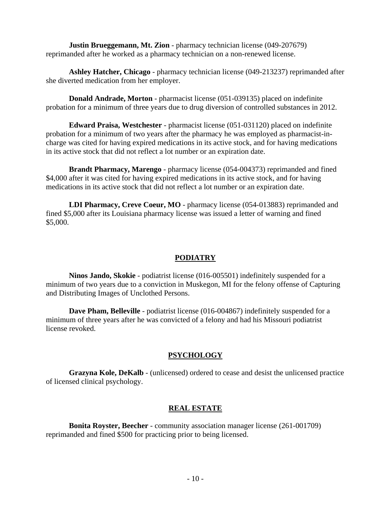**Justin Brueggemann, Mt. Zion** - pharmacy technician license (049-207679) reprimanded after he worked as a pharmacy technician on a non-renewed license.

**Ashley Hatcher, Chicago** - pharmacy technician license (049-213237) reprimanded after she diverted medication from her employer.

**Donald Andrade, Morton** - pharmacist license (051-039135) placed on indefinite probation for a minimum of three years due to drug diversion of controlled substances in 2012.

**Edward Praisa, Westchester** - pharmacist license (051-031120) placed on indefinite probation for a minimum of two years after the pharmacy he was employed as pharmacist-incharge was cited for having expired medications in its active stock, and for having medications in its active stock that did not reflect a lot number or an expiration date.

**Brandt Pharmacy, Marengo** - pharmacy license (054-004373) reprimanded and fined \$4,000 after it was cited for having expired medications in its active stock, and for having medications in its active stock that did not reflect a lot number or an expiration date.

**LDI Pharmacy, Creve Coeur, MO** - pharmacy license (054-013883) reprimanded and fined \$5,000 after its Louisiana pharmacy license was issued a letter of warning and fined \$5,000.

### **PODIATRY**

**Ninos Jando, Skokie** - podiatrist license (016-005501) indefinitely suspended for a minimum of two years due to a conviction in Muskegon, MI for the felony offense of Capturing and Distributing Images of Unclothed Persons.

**Dave Pham, Belleville** - podiatrist license (016-004867) indefinitely suspended for a minimum of three years after he was convicted of a felony and had his Missouri podiatrist license revoked.

#### **PSYCHOLOGY**

**Grazyna Kole, DeKalb** - (unlicensed) ordered to cease and desist the unlicensed practice of licensed clinical psychology.

#### **REAL ESTATE**

**Bonita Royster, Beecher** - community association manager license (261-001709) reprimanded and fined \$500 for practicing prior to being licensed.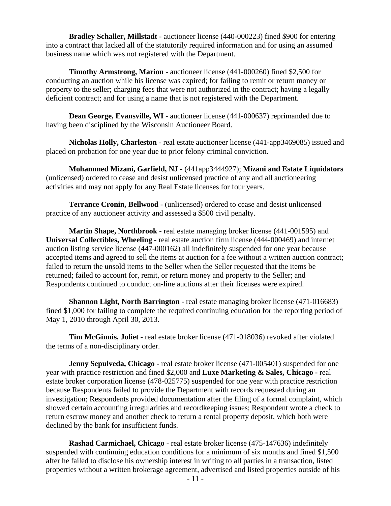**Bradley Schaller, Millstadt** - auctioneer license (440-000223) fined \$900 for entering into a contract that lacked all of the statutorily required information and for using an assumed business name which was not registered with the Department.

**Timothy Armstrong, Marion** - auctioneer license (441-000260) fined \$2,500 for conducting an auction while his license was expired; for failing to remit or return money or property to the seller; charging fees that were not authorized in the contract; having a legally deficient contract; and for using a name that is not registered with the Department.

**Dean George, Evansville, WI** - auctioneer license (441-000637) reprimanded due to having been disciplined by the Wisconsin Auctioneer Board.

**Nicholas Holly, Charleston** - real estate auctioneer license (441-app3469085) issued and placed on probation for one year due to prior felony criminal conviction.

**Mohammed Mizani, Garfield, NJ** - (441app3444927); **Mizani and Estate Liquidators** (unlicensed) ordered to cease and desist unlicensed practice of any and all auctioneering activities and may not apply for any Real Estate licenses for four years.

**Terrance Cronin, Bellwood** - (unlicensed) ordered to cease and desist unlicensed practice of any auctioneer activity and assessed a \$500 civil penalty.

**Martin Shape, Northbrook** - real estate managing broker license (441-001595) and **Universal Collectibles, Wheeling -** real estate auction firm license (444-000469) and internet auction listing service license (447-000162) all indefinitely suspended for one year because accepted items and agreed to sell the items at auction for a fee without a written auction contract; failed to return the unsold items to the Seller when the Seller requested that the items be returned; failed to account for, remit, or return money and property to the Seller; and Respondents continued to conduct on-line auctions after their licenses were expired.

**Shannon Light, North Barrington** - real estate managing broker license (471-016683) fined \$1,000 for failing to complete the required continuing education for the reporting period of May 1, 2010 through April 30, 2013.

**Tim McGinnis, Joliet** - real estate broker license (471-018036) revoked after violated the terms of a non-disciplinary order.

**Jenny Sepulveda, Chicago** - real estate broker license (471-005401) suspended for one year with practice restriction and fined \$2,000 and **Luxe Marketing & Sales, Chicago -** real estate broker corporation license (478-025775) suspended for one year with practice restriction because Respondents failed to provide the Department with records requested during an investigation; Respondents provided documentation after the filing of a formal complaint, which showed certain accounting irregularities and recordkeeping issues; Respondent wrote a check to return escrow money and another check to return a rental property deposit, which both were declined by the bank for insufficient funds.

**Rashad Carmichael, Chicago** - real estate broker license (475-147636) indefinitely suspended with continuing education conditions for a minimum of six months and fined \$1,500 after he failed to disclose his ownership interest in writing to all parties in a transaction, listed properties without a written brokerage agreement, advertised and listed properties outside of his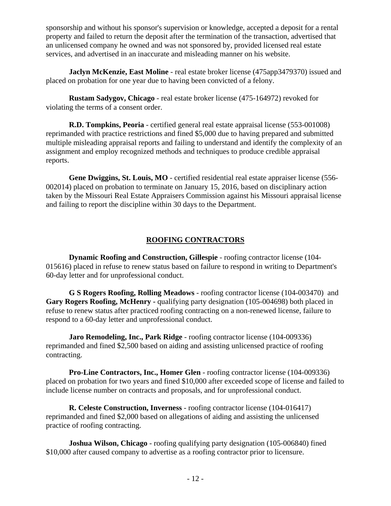sponsorship and without his sponsor's supervision or knowledge, accepted a deposit for a rental property and failed to return the deposit after the termination of the transaction, advertised that an unlicensed company he owned and was not sponsored by, provided licensed real estate services, and advertised in an inaccurate and misleading manner on his website.

**Jaclyn McKenzie, East Moline** - real estate broker license (475app3479370) issued and placed on probation for one year due to having been convicted of a felony.

**Rustam Sadygov, Chicago** - real estate broker license (475-164972) revoked for violating the terms of a consent order.

**R.D. Tompkins, Peoria** - certified general real estate appraisal license (553-001008) reprimanded with practice restrictions and fined \$5,000 due to having prepared and submitted multiple misleading appraisal reports and failing to understand and identify the complexity of an assignment and employ recognized methods and techniques to produce credible appraisal reports.

**Gene Dwiggins, St. Louis, MO** - certified residential real estate appraiser license (556- 002014) placed on probation to terminate on January 15, 2016, based on disciplinary action taken by the Missouri Real Estate Appraisers Commission against his Missouri appraisal license and failing to report the discipline within 30 days to the Department.

#### **ROOFING CONTRACTORS**

**Dynamic Roofing and Construction, Gillespie** - roofing contractor license (104- 015616) placed in refuse to renew status based on failure to respond in writing to Department's 60-day letter and for unprofessional conduct.

**G S Rogers Roofing, Rolling Meadows** - roofing contractor license (104-003470) and **Gary Rogers Roofing, McHenry -** qualifying party designation (105-004698) both placed in refuse to renew status after practiced roofing contracting on a non-renewed license, failure to respond to a 60-day letter and unprofessional conduct.

**Jaro Remodeling, Inc., Park Ridge** - roofing contractor license (104-009336) reprimanded and fined \$2,500 based on aiding and assisting unlicensed practice of roofing contracting.

**Pro-Line Contractors, Inc., Homer Glen** - roofing contractor license (104-009336) placed on probation for two years and fined \$10,000 after exceeded scope of license and failed to include license number on contracts and proposals, and for unprofessional conduct.

**R. Celeste Construction, Inverness** - roofing contractor license (104-016417) reprimanded and fined \$2,000 based on allegations of aiding and assisting the unlicensed practice of roofing contracting.

**Joshua Wilson, Chicago** - roofing qualifying party designation (105-006840) fined \$10,000 after caused company to advertise as a roofing contractor prior to licensure.